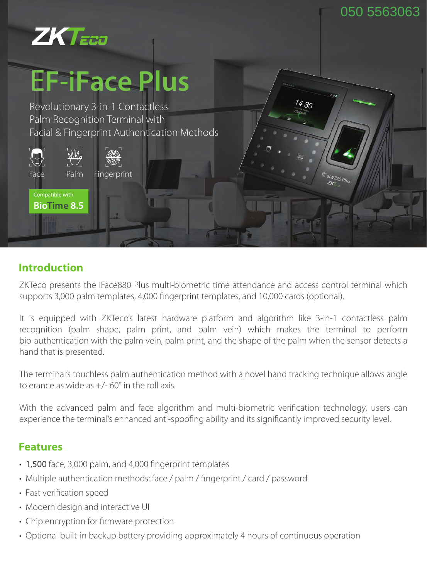14 3n



# E**F**-**iFace Plus**

Revolutionary 3-in-1 Contactless Palm Recognition Terminal with Facial & Fingerprint Authentication Methods



#### **Introduction**

ZKTeco presents the iFace880 Plus multi-biometric time attendance and access control terminal which supports 3,000 palm templates, 4,000 fingerprint templates, and 10,000 cards (optional).

It is equipped with ZKTeco's latest hardware platform and algorithm like 3-in-1 contactless palm recognition (palm shape, palm print, and palm vein) which makes the terminal to perform bio-authentication with the palm vein, palm print, and the shape of the palm when the sensor detects a hand that is presented.

The terminal's touchless palm authentication method with a novel hand tracking technique allows angle tolerance as wide as  $+/-$  60 $^{\circ}$  in the roll axis.

With the advanced palm and face algorithm and multi-biometric verification technology, users can experience the terminal's enhanced anti-spoofing ability and its significantly improved security level.

### **Features**

- 1,500 face, 3,000 palm, and 4,000 fingerprint templates
- Multiple authentication methods: face / palm / fingerprint / card / password
- Fast verification speed
- Modern design and interactive UI
- Chip encryption for firmware protection
- Optional built-in backup battery providing approximately 4 hours of continuous operation